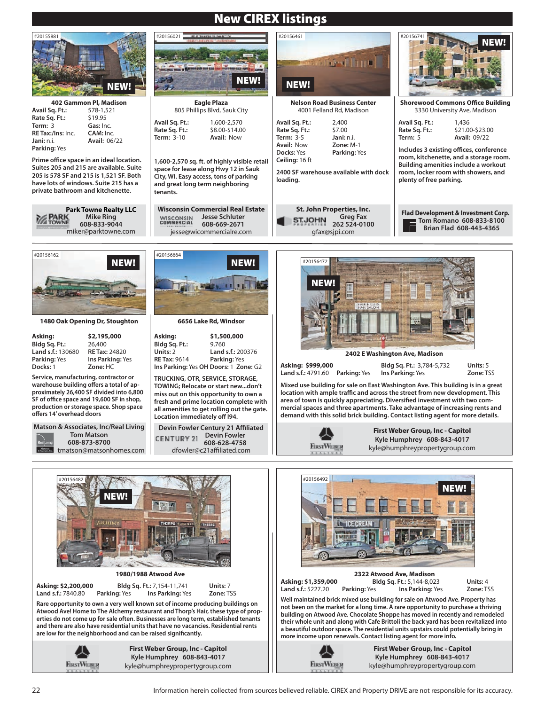## New CIREX listings